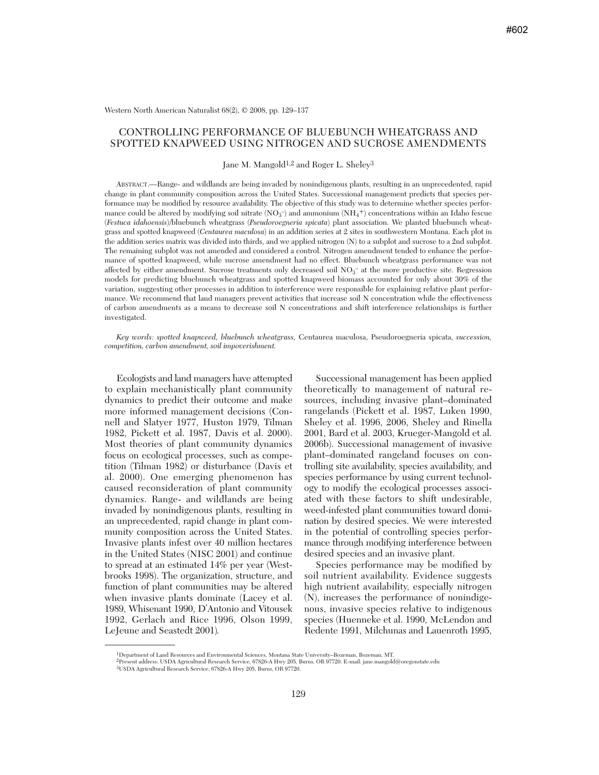Western North American Naturalist 68(2), © 2008, pp. 129–137

## CONTROLLING PERFORMANCE OF BLUEBUNCH WHEATGRASS AND SPOTTED KNAPWEED USING NITROGEN AND SUCROSE AMENDMENTS

Jane M. Mangold1,2 and Roger L. Sheley3

ABSTRACT.—Range- and wildlands are being invaded by nonindigenous plants, resulting in an unprecedented, rapid change in plant community composition across the United States. Successional management predicts that species performance may be modified by resource availability. The objective of this study was to determine whether species performance could be altered by modifying soil nitrate ( $NO_3^-$ ) and ammonium ( $NH_4^+$ ) concentrations within an Idaho fescue (*Festuca idahoensis*)/bluebunch wheatgrass (*Pseudoroegneria spicata*) plant association. We planted bluebunch wheatgrass and spotted knapweed (*Centaurea maculosa*) in an addition series at 2 sites in southwestern Montana. Each plot in the addition series matrix was divided into thirds, and we applied nitrogen (N) to a subplot and sucrose to a 2nd subplot. The remaining subplot was not amended and considered a control. Nitrogen amendment tended to enhance the performance of spotted knapweed, while sucrose amendment had no effect. Bluebunch wheatgrass performance was not affected by either amendment. Sucrose treatments only decreased soil  $NO<sub>3</sub><sup>-</sup>$  at the more productive site. Regression models for predicting bluebunch wheatgrass and spotted knapweed biomass accounted for only about 30% of the variation, suggesting other processes in addition to interference were responsible for explaining relative plant perfor mance. We recommend that land managers prevent activities that increase soil N concentration while the effectiveness of carbon amendments as a means to decrease soil N concentrations and shift interference relationships is further investigated.

*Key words: spotted knapweed, bluebunch wheatgrass,* Centaurea maculosa, Pseudoroegneria spicata, *succession, competition, carbon amendment, soil impoverishment.*

Ecologists and land managers have attempted to explain mechanistically plant community dynamics to predict their outcome and make more informed management decisions (Connell and Slatyer 1977, Huston 1979, Tilman 1982, Pickett et al. 1987, Davis et al. 2000). Most theories of plant community dynamics focus on ecological processes, such as competition (Tilman 1982) or disturbance (Davis et al. 2000). One emerging phenomenon has caused reconsideration of plant community dynamics. Range- and wildlands are being invaded by nonindigenous plants, resulting in an unprecedented, rapid change in plant community composition across the United States. Invasive plants infest over 40 million hectares in the United States (NISC 2001) and continue to spread at an estimated 14% per year (Westbrooks 1998). The organization, structure, and function of plant communities may be altered when invasive plants dominate (Lacey et al. 1989, Whisenant 1990, D'Antonio and Vitousek 1992, Gerlach and Rice 1996, Olson 1999, LeJeune and Seastedt 2001)*.*

Successional management has been applied theoretically to management of natural re sources, including invasive plant–dominated rangelands (Pickett et al. 1987, Luken 1990, Sheley et al. 1996, 2006, Sheley and Rinella 2001, Bard et al. 2003, Krueger-Mangold et al. 2006b). Successional management of invasive plant–dominated rangeland focuses on controlling site availability, species availability, and species performance by using current technology to modify the ecological processes associated with these factors to shift undesirable, weed-infested plant communities toward domination by desired species. We were interested in the potential of controlling species performance through modifying interference between desired species and an invasive plant.

Species performance may be modified by soil nutrient availability. Evidence suggests high nutrient availability, especially nitrogen (N), increases the performance of nonindigenous, invasive species relative to indigenous species (Huenneke et al. 1990, McLendon and Redente 1991, Milchunas and Lauenroth 1995,

<sup>1</sup>Department of Land Resources and Environmental Sciences, Montana State University–Bozeman, Bozeman, MT.

<sup>2</sup>Present address: USDA Agricultural Research Service, 67826-A Hwy 205, Burns, OR 97720. E-mail: jane.mangold@oregonstate.edu

<sup>3</sup>USDA Agricultural Research Service, 67826-A Hwy 205, Burns, OR 97720.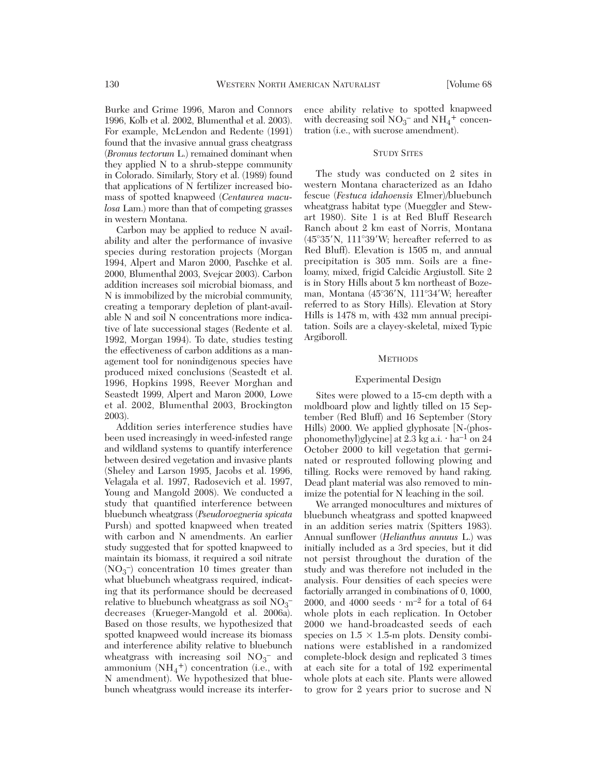Burke and Grime 1996, Maron and Connors 1996, Kolb et al. 2002, Blumenthal et al. 2003). For example, McLendon and Redente (1991) found that the invasive annual grass cheatgrass (*Bromus tectorum* L.) remained dominant when they applied N to a shrub-steppe community in Colorado. Similarly, Story et al. (1989) found that applications of N fertilizer increased biomass of spotted knapweed (*Centaurea maculosa* Lam.) more than that of competing grasses in western Montana.

Carbon may be applied to reduce N availability and alter the performance of invasive species during restoration projects (Morgan 1994, Alpert and Maron 2000, Paschke et al. 2000, Blumenthal 2003, Svejcar 2003). Carbon addition increases soil microbial biomass, and N is immobilized by the microbial community, creating a temporary depletion of plant-available N and soil N concentrations more indicative of late successional stages (Redente et al. 1992, Morgan 1994). To date, studies testing the effectiveness of carbon additions as a management tool for nonindigenous species have produced mixed conclusions (Seastedt et al. 1996, Hopkins 1998, Reever Morghan and Seastedt 1999, Alpert and Maron 2000, Lowe et al. 2002, Blumenthal 2003, Brockington 2003).

Addition series interference studies have been used increasingly in weed-infested range and wildland systems to quantify interference between desired vegetation and invasive plants (Sheley and Larson 1995, Jacobs et al. 1996, Velagala et al. 1997, Radosevich et al. 1997, Young and Mangold 2008). We conducted a study that quantified interference between bluebunch wheatgrass (*Pseudoroegneria spicata* Pursh) and spotted knapweed when treated with carbon and N amendments. An earlier study suggested that for spotted knapweed to maintain its biomass, it required a soil nitrate (NO3 –) concentration 10 times greater than what bluebunch wheat grass required, indicating that its performance should be decreased relative to bluebunch wheatgrass as soil  $NO<sub>3</sub>$ <sup>-</sup> decreases (Krueger-Mangold et al. 2006a). Based on those results, we hypothesized that spotted knapweed would increase its biomass and interference ability relative to bluebunch wheatgrass with increasing soil  $NO<sub>3</sub><sup>-</sup>$  and ammonium  $(NH_4^+)$  concentration (i.e., with N amendment). We hypothesized that bluebunch wheat grass would increase its interference ability relative to spotted knapweed with decreasing soil  $NO_3^-$  and  $NH_4^+$  concentration (i.e., with sucrose amendment).

## STUDY SITES

The study was conducted on 2 sites in western Montana characterized as an Idaho fescue (*Festuca idahoensis* Elmer)/bluebunch wheatgrass habitat type (Mueggler and Stewart 1980). Site 1 is at Red Bluff Research Ranch about 2 km east of Norris, Montana  $(45^{\circ}35'N, 111^{\circ}39'W;$  hereafter referred to as Red Bluff). Elevation is 1505 m, and annual precipitation is 305 mm. Soils are a fineloamy, mixed, frigid Calcidic Argiustoll. Site 2 is in Story Hills about 5 km northeast of Bozeman, Montana (45°36'N, 111°34'W; hereafter referred to as Story Hills). Elevation at Story Hills is 1478 m, with 432 mm annual precipitation. Soils are a clayey-skeletal, mixed Typic Argiboroll.

#### **METHODS**

## Experimental Design

Sites were plowed to a 15-cm depth with a moldboard plow and lightly tilled on 15 September (Red Bluff) and 16 September (Story Hills) 2000. We applied glyphosate [N-(phosphonomethyl)glycine] at 2.3 kg a.i.  $\cdot$  ha<sup>-1</sup> on 24 October 2000 to kill vegetation that germinated or resprouted following plowing and tilling. Rocks were removed by hand raking. Dead plant material was also removed to minimize the potential for N leaching in the soil.

We arranged monocultures and mixtures of bluebunch wheatgrass and spotted knapweed in an addition series matrix (Spitters 1983). Annual sunflower (*Helianthus annuus* L.) was initially included as a 3rd species, but it did not persist throughout the duration of the study and was therefore not included in the analysis. Four densities of each species were factorially arranged in combinations of 0, 1000, 2000, and 4000 seeds  $\cdot$  m<sup>-2</sup> for a total of 64 whole plots in each replication. In October 2000 we hand-broadcasted seeds of each species on  $1.5 \times 1.5$ -m plots. Density combinations were established in a randomized complete-block design and replicated 3 times at each site for a total of 192 experimental whole plots at each site. Plants were allowed to grow for 2 years prior to sucrose and N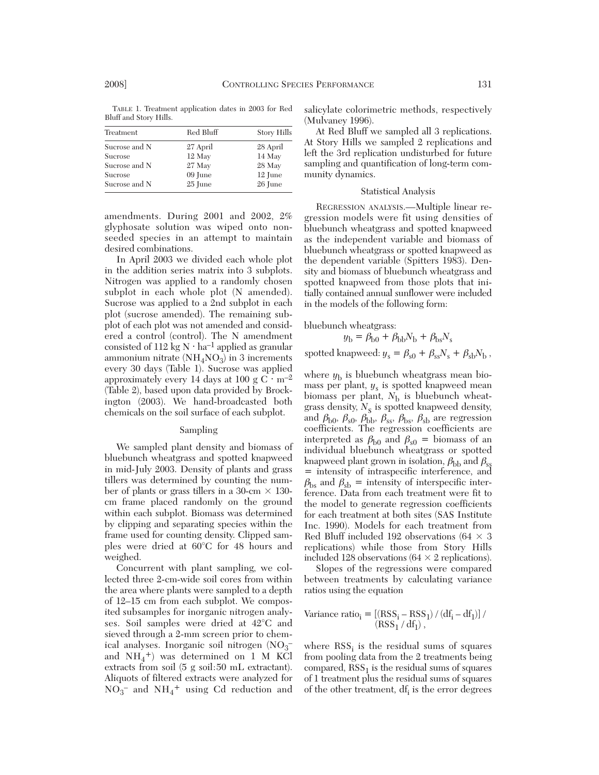TABLE 1. Treatment application dates in 2003 for Red Bluff and Story Hills.

| Treatment     | Red Bluff | Story Hills |  |
|---------------|-----------|-------------|--|
| Sucrose and N | 27 April  | 28 April    |  |
| Sucrose       | 12 May    | 14 May      |  |
| Sucrose and N | 27 May    | 28 May      |  |
| Sucrose       | 09 June   | 12 June     |  |
| Sucrose and N | 25 June   | 26 June     |  |

amendments. During 2001 and 2002, 2% glyphosate solution was wiped onto nonseeded species in an attempt to maintain desired combinations.

In April 2003 we divided each whole plot in the addition series matrix into 3 subplots. Nitrogen was applied to a randomly chosen subplot in each whole plot (N amended). Sucrose was applied to a 2nd subplot in each plot (sucrose amended). The remaining subplot of each plot was not amended and considered a control (control). The N amendment consisted of 112 kg  $N \cdot ha^{-1}$  applied as granular ammonium nitrate  $(NH<sub>4</sub>NO<sub>3</sub>)$  in 3 increments every 30 days (Table 1). Sucrose was applied approximately every 14 days at 100 g C  $\cdot$  m<sup>-2</sup> (Table 2), based upon data provided by Brockington (2003). We hand-broadcasted both chemicals on the soil surface of each subplot.

#### Sampling

We sampled plant density and biomass of bluebunch wheatgrass and spotted knapweed in mid-July 2003. Density of plants and grass tillers was determined by counting the number of plants or grass tillers in a 30-cm  $\times$  130cm frame placed randomly on the ground within each subplot. Biomass was determined by clipping and separating species within the frame used for counting density. Clipped samples were dried at 60°C for 48 hours and weighed.

Concurrent with plant sampling, we collected three 2-cm-wide soil cores from within the area where plants were sampled to a depth of 12–15 cm from each subplot. We composited subsamples for inorganic nitrogen analyses. Soil samples were dried at 42°C and sieved through a 2-mm screen prior to chemical analyses. Inorganic soil nitrogen (NO3 – and  $NH_4^+$ ) was determined on 1 M KCl extracts from soil (5 g soil:50 mL extractant). Aliquots of filtered extracts were analyzed for  $NO_3^-$  and  $NH_4^+$  using Cd reduction and

salicylate colorimetric methods, respectively (Mulvaney 1996).

At Red Bluff we sampled all 3 replications. At Story Hills we sampled 2 replications and left the 3rd replication undisturbed for future sampling and quantification of long-term community dynamics.

## Statistical Analysis

REGRESSION ANALYSIS.—Multiple linear re gression models were fit using densities of bluebunch wheatgrass and spotted knapweed as the independent variable and biomass of bluebunch wheatgrass or spotted knapweed as the dependent variable (Spitters 1983). Density and biomass of bluebunch wheatgrass and spotted knapweed from those plots that initially contained annual sunflower were included in the models of the following form:

bluebunch wheatgrass:

$$
y_{\rm b} = \beta_{\rm b0} + \beta_{\rm bb} N_{\rm b} + \beta_{\rm bs} N_{\rm s}
$$
\n
$$
\text{spotted knapweed: } y_{\rm s} = \beta_{\rm s0} + \beta_{\rm ss} N_{\rm s} + \beta_{\rm sb} N_{\rm b} \,,
$$

where  $y<sub>b</sub>$  is bluebunch wheatgrass mean biomass per plant, *y*<sup>s</sup> is spotted knapweed mean biomass per plant,  $N_b$  is bluebunch wheatgrass density,  $N_{\rm s}$  is spotted knapweed density, and  $\beta_{b0}$ ,  $\beta_{s0}$ ,  $\beta_{b\}$ ,  $\beta_{ss}$ ,  $\beta_{bs}$ ,  $\beta_{sb}$  are regression coefficients. The regression coefficients are interpreted as  $\beta_{b0}$  and  $\beta_{s0}$  = biomass of an individual bluebunch wheatgrass or spotted knapweed plant grown in isolation,  $\beta_{\text{bb}}$  and  $\beta_{\text{ss}}$ = intensity of intraspecific interference, and  $\beta_{\text{bs}}$  and  $\beta_{\text{sb}}$  = intensity of interspecific interference. Data from each treatment were fit to the model to generate regression coefficients for each treatment at both sites (SAS Institute Inc. 1990). Models for each treatment from Red Bluff included 192 observations (64  $\times$  3 replications) while those from Story Hills included 128 observations (64  $\times$  2 replications).

Slopes of the regressions were compared between treatments by calculating variance ratios using the equation

Variance ratioi = [(RSSi – RSS1) / (dfi – df1)] / (RSS1 / df1) ,

where  $RSS<sub>i</sub>$  is the residual sums of squares from pooling data from the 2 treatments being compared,  $RSS<sub>1</sub>$  is the residual sums of squares of 1 treatment plus the residual sums of squares of the other treatment,  $df_i$  is the error degrees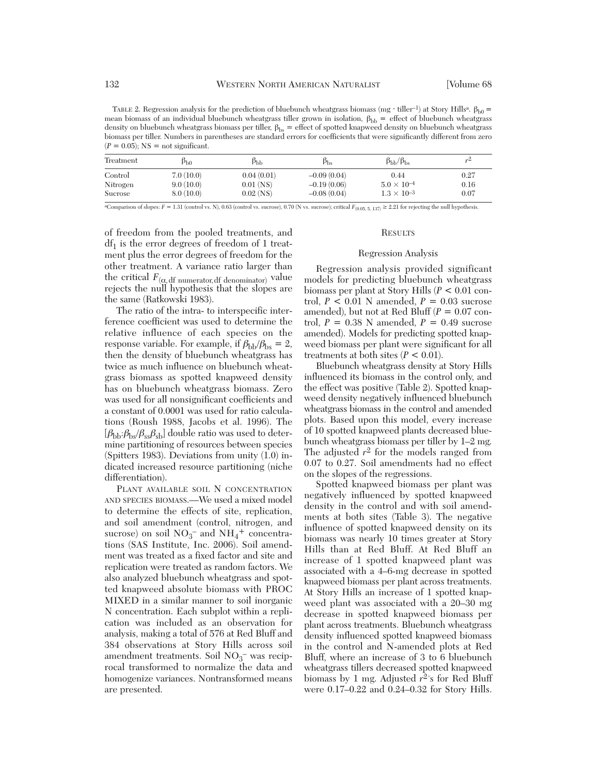TABLE 2. Regression analysis for the prediction of bluebunch wheatgrass biomass (mg ⋅ tiller–1) at Story Hills<sup>a</sup>.  $\beta_{b0}$  = mean biomass of an individual bluebunch wheatgrass tiller grown in isolation,  $\beta_{bb}$  = effect of bluebunch wheatgrass density on bluebunch wheatgrass biomass per tiller,  $\beta_{\rm bs} =$  effect of spotted knapweed density on bluebunch wheatgrass biomass per tiller. Numbers in parentheses are standard errors for coefficients that were significantly different from zero  $(P = 0.05)$ ; NS = not significant.

| Treatment | Þьo       | Þъь         | $p_{bs}$      | $\beta_{\rm bb}/\beta_{\rm bs}$ |      |
|-----------|-----------|-------------|---------------|---------------------------------|------|
| Control   | 7.0(10.0) | 0.04(0.01)  | $-0.09(0.04)$ | 0.44                            | 0.27 |
| Nitrogen  | 9.0(10.0) | $0.01$ (NS) | $-0.19(0.06)$ | $5.0 \times 10^{-4}$            | 0.16 |
| Sucrose   | 8.0(10.0) | $0.02$ (NS) | $-0.08(0.04)$ | $1.3 \times 10^{-3}$            | 0.07 |

<sup>a</sup>Comparison of slopes: *F* = 1.31 (control vs. N), 0.63 (control vs. sucrose), 0.70 (N vs. sucrose); critical  $F_{(0.05, 5, 137)} \geq 2.21$  for rejecting the null hypothesis.

of freedom from the pooled treatments, and  $df_1$  is the error degrees of freedom of 1 treatment plus the error degrees of freedom for the other treatment. A variance ratio larger than the critical  $F_{(\alpha, d\text{f numerator}, d\text{f denominator})}$  value rejects the null hypothesis that the slopes are the same (Ratkowski 1983).

The ratio of the intra- to interspecific interference coefficient was used to determine the relative influence of each species on the response variable. For example, if  $\beta_{\rm bb}/\beta_{\rm bs} = 2$ , then the density of bluebunch wheatgrass has twice as much influence on bluebunch wheatgrass biomass as spotted knapweed density has on bluebunch wheatgrass biomass. Zero was used for all nonsignificant coefficients and a constant of 0.0001 was used for ratio calculations (Roush 1988, Jacobs et al. 1996). The  $[\beta_{\rm bb}:\beta_{\rm bs}/\beta_{\rm ss}\beta_{\rm sb}]$  double ratio was used to determine partitioning of resources between species (Spitters 1983). Deviations from unity (1.0) indicated increased resource partitioning (niche differentiation).

PLANT AVAILABLE SOIL N CONCENTRATION AND SPECIES BIOMASS.—We used a mixed model to determine the effects of site, replication, and soil amendment (control, nitrogen, and sucrose) on soil  $NO_3^-$  and  $NH_4^+$  concentrations (SAS Institute, Inc. 2006). Soil amendment was treated as a fixed factor and site and replication were treated as random factors. We also analyzed bluebunch wheatgrass and spotted knapweed absolute biomass with PROC MIXED in a similar manner to soil inorganic N concentration. Each subplot within a replication was included as an observation for analysis, making a total of 576 at Red Bluff and 384 observations at Story Hills across soil amendment treatments. Soil NO<sub>3</sub><sup>-</sup> was reciprocal transformed to normalize the data and homogenize variances. Nontransformed means are presented.

#### **RESULTS**

## Regression Analysis

Regression analysis provided significant models for predicting bluebunch wheatgrass biomass per plant at Story Hills (*P* < 0.01 control,  $P < 0.01$  N amended,  $P = 0.03$  sucrose amended), but not at Red Bluff (*P* = 0.07 control,  $P = 0.38$  N amended,  $P = 0.49$  sucrose amended). Models for predicting spotted knap weed biomass per plant were significant for all treatments at both sites  $(P < 0.01)$ .

Bluebunch wheatgrass density at Story Hills influenced its biomass in the control only, and the effect was positive (Table 2). Spotted knapweed density negatively influenced bluebunch wheatgrass biomass in the control and amended plots. Based upon this model, every increase of 10 spotted knapweed plants decreased blue bunch wheatgrass biomass per tiller by 1–2 mg. The adjusted  $r^2$  for the models ranged from 0.07 to 0.27. Soil amendments had no effect on the slopes of the regressions.

Spotted knapweed biomass per plant was negatively influenced by spotted knapweed density in the control and with soil amendments at both sites (Table 3). The negative influence of spotted knapweed density on its biomass was nearly 10 times greater at Story Hills than at Red Bluff. At Red Bluff an increase of 1 spotted knapweed plant was associated with a 4–6-mg decrease in spotted knapweed biomass per plant across treatments. At Story Hills an increase of 1 spotted knapweed plant was associated with a 20–30 mg decrease in spotted knapweed biomass per plant across treatments. Bluebunch wheatgrass density influenced spotted knapweed biomass in the control and N-amended plots at Red Bluff, where an increase of 3 to 6 bluebunch wheatgrass tillers decreased spotted knapweed biomass by 1 mg. Adjusted *r*2's for Red Bluff were 0.17–0.22 and 0.24–0.32 for Story Hills.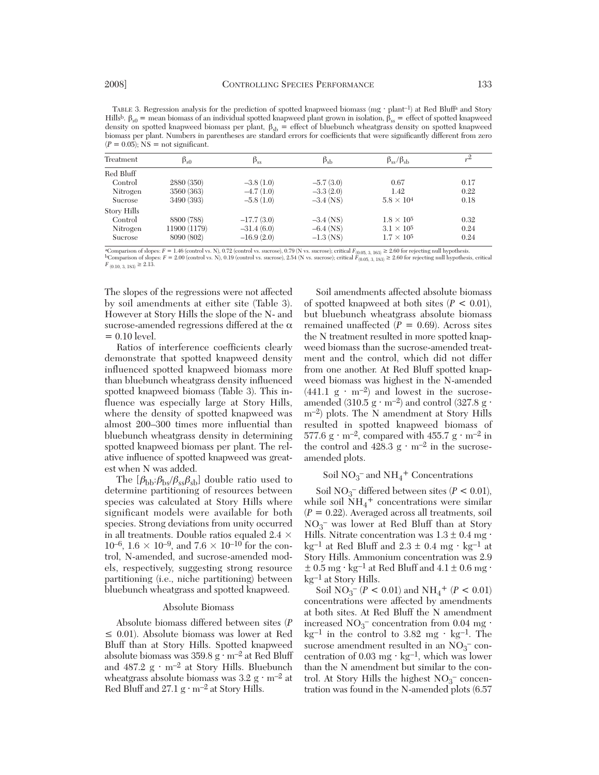TABLE 3. Regression analysis for the prediction of spotted knapweed biomass (mg ⋅ plant<sup>-1</sup>) at Red Bluff<sup>a</sup> and Story Hills<sup>b</sup>. β<sub>s0</sub> = mean biomass of an individual spotted knapweed plant grown in isolation, β<sub>ss</sub> = effect of spotted knapweed density on spotted knapweed biomass per plant,  $\beta_{sb}$  = effect of bluebunch wheatgrass density on spotted knapweed biomass per plant. Numbers in parentheses are standard errors for coefficients that were significantly different from zero  $(P = 0.05)$ ; NS = not significant.

| Treatment   | $\beta_{s0}$ | $\beta_{ss}$ | $\beta_{sb}$ | $\beta_{ss}/\beta_{sh}$ | $r^2$ |
|-------------|--------------|--------------|--------------|-------------------------|-------|
| Red Bluff   |              |              |              |                         |       |
| Control     | 2880 (350)   | $-3.8(1.0)$  | $-5.7(3.0)$  | 0.67                    | 0.17  |
| Nitrogen    | 3560 (363)   | $-4.7(1.0)$  | $-3.3(2.0)$  | 1.42                    | 0.22  |
| Sucrose     | 3490 (393)   | $-5.8(1.0)$  | $-3.4$ (NS)  | $5.8 \times 10^{4}$     | 0.18  |
| Story Hills |              |              |              |                         |       |
| Control     | 8800 (788)   | $-17.7(3.0)$ | $-3.4$ (NS)  | $1.8 \times 10^5$       | 0.32  |
| Nitrogen    | 11900 (1179) | $-31.4(6.0)$ | $-6.4$ (NS)  | $3.1 \times 10^5$       | 0.24  |
| Sucrose     | 8090 (802)   | $-16.9(2.0)$ | $-1.3$ (NS)  | $1.7 \times 10^5$       | 0.24  |

<sup>a</sup>Comparison of slopes:  $F = 1.46$  (control vs. N), 0.72 (control vs. sucrose), 0.79 (N vs. sucrose); critical  $F_{(0.05, 3, 163)} \ge 2.60$  for rejecting null hypothesis.<br><sup>b</sup>Comparison of slopes:  $F = 2.00$  (control vs. N), 0  $F_{(0.10, 3, 183)} \geq 2.13.$ 

The slopes of the regressions were not affected by soil amendments at either site (Table 3). However at Story Hills the slope of the N- and sucrose-amended regressions differed at the  $\alpha$  $= 0.10$  level.

Ratios of interference coefficients clearly demonstrate that spotted knapweed density influenced spotted knapweed biomass more than bluebunch wheatgrass density influenced spotted knapweed biomass (Table 3). This in fluence was especially large at Story Hills, where the density of spotted knapweed was almost 200–300 times more influential than bluebunch wheatgrass density in determining spotted knapweed biomass per plant. The relative influence of spotted knapweed was greatest when N was added.

The  $[\beta_{\rm bb}:\beta_{\rm bs}/\beta_{\rm ss}\beta_{\rm sb}]$  double ratio used to determine partitioning of resources between species was calculated at Story Hills where significant models were available for both species. Strong deviations from unity occurred in all treatments. Double ratios equaled  $2.4 \times$  $10^{-6}$ ,  $1.6 \times 10^{-9}$ , and  $7.6 \times 10^{-10}$  for the control, N-amended, and sucrose-amended models, respectively, suggesting strong resource partitioning (i.e., niche partitioning) between bluebunch wheatgrass and spotted knapweed.

#### Absolute Biomass

Absolute biomass differed between sites (*P* ≤ 0.01). Absolute biomass was lower at Red Bluff than at Story Hills. Spotted knapweed absolute biomass was 359.8 g ⋅ m–2 at Red Bluff and  $487.2 \text{ g} \cdot \text{m}^{-2}$  at Story Hills. Bluebunch wheatgrass absolute biomass was  $3.2 \text{ g} \cdot \text{m}^{-2}$  at Red Bluff and  $27.1 g \cdot m^{-2}$  at Story Hills.

Soil amendments affected absolute biomass of spotted knapweed at both sites  $(P < 0.01)$ , but bluebunch wheatgrass absolute biomass remained unaffected  $(P = 0.69)$ . Across sites the N treatment resulted in more spotted knapweed biomass than the sucrose-amended treatment and the control, which did not differ from one another. At Red Bluff spotted knapweed biomass was highest in the N-amended (441.1  $g \cdot m^{-2}$ ) and lowest in the sucroseamended (310.5 g · m<sup>-2</sup>) and control (327.8 g · m–2) plots. The N amendment at Story Hills resulted in spotted knapweed biomass of 577.6 g · m<sup>-2</sup>, compared with 455.7 g · m<sup>-2</sup> in the control and 428.3  $g \cdot m^{-2}$  in the sucroseamended plots.

# Soil $\mathrm{NO_3^-}$  and  $\mathrm{NH_4}^+$  Concentrations

Soil NO<sub>3</sub><sup> $-$ </sup> differed between sites (*P* < 0.01), while soil  $NH_4$ <sup>+</sup> concentrations were similar  $(P = 0.22)$ . Averaged across all treatments, soil NO3 – was lower at Red Bluff than at Story Hills. Nitrate concentration was  $1.3 \pm 0.4$  mg  $\cdot$ kg<sup>-1</sup> at Red Bluff and  $2.3 \pm 0.4$  mg ⋅ kg<sup>-1</sup> at Story Hills. Ammonium concentration was 2.9  $\pm$  0.5 mg ⋅ kg<sup>-1</sup> at Red Bluff and 4.1  $\pm$  0.6 mg ⋅ kg–1 at Story Hills.

Soil  $NO_3^- (P < 0.01)$  and  $NH_4^+ (P < 0.01)$ concentrations were affected by amendments at both sites. At Red Bluff the N amendment increased NO<sub>3</sub><sup>–</sup> concentration from 0.04 mg ·  $kg^{-1}$  in the control to 3.82 mg ⋅ kg<sup>-1</sup>. The sucrose amendment resulted in an  $NO<sub>3</sub><sup>-</sup>$  concentration of 0.03 mg  $\cdot$  kg<sup>-1</sup>, which was lower than the N amendment but similar to the control. At Story Hills the highest  $NO<sub>3</sub><sup>-</sup>$  concentration was found in the N-amended plots (6.57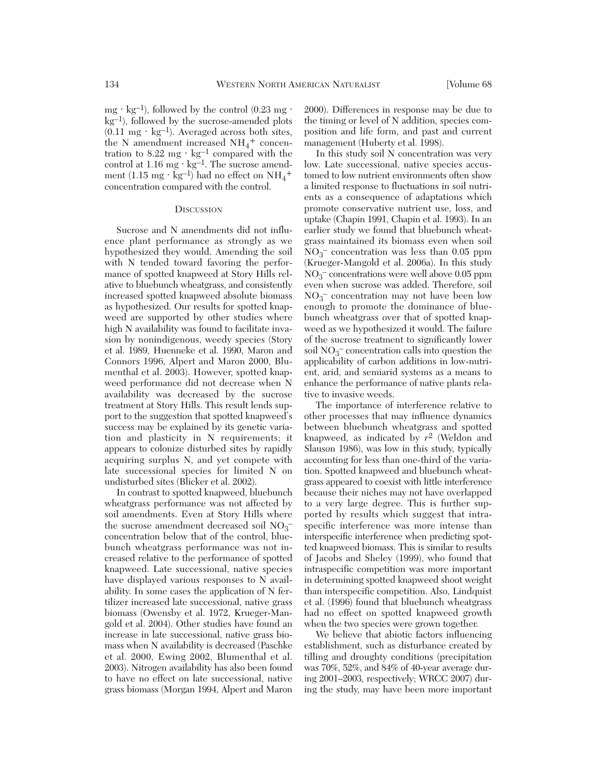mg ⋅ kg<sup>-1</sup>), followed by the control  $(0.23 \text{ mg} \cdot$ kg–1), followed by the sucrose-amended plots  $(0.11 \text{ mg} \cdot \text{kg}^{-1})$ . Averaged across both sites, the N amendment increased  $NH_4^+$  concentration to 8.22 mg  $\cdot$  kg<sup>-1</sup> compared with the control at  $1.16$  mg  $\cdot$  kg<sup>-1</sup>. The sucrose amendment (1.15 mg · kg<sup>-1</sup>) had no effect on  $NH_4^+$ concentration compared with the control.

#### **DISCUSSION**

Sucrose and N amendments did not influence plant performance as strongly as we hypothesized they would. Amending the soil with N tended toward favoring the performance of spotted knapweed at Story Hills relative to bluebunch wheatgrass, and consistently increased spotted knapweed absolute biomass as hypothesized. Our results for spotted knapweed are supported by other studies where high N availability was found to facilitate invasion by nonindigenous, weedy species (Story et al. 1989, Huenneke et al. 1990, Maron and Connors 1996, Alpert and Maron 2000, Blumenthal et al. 2003). However, spotted knapweed performance did not decrease when N availability was decreased by the sucrose treatment at Story Hills. This result lends support to the suggestion that spotted knapweed's success may be explained by its genetic variation and plasticity in N requirements; it appears to colonize disturbed sites by rapidly acquiring surplus N, and yet compete with late successional species for limited N on undisturbed sites (Blicker et al. 2002).

In contrast to spotted knapweed, bluebunch wheatgrass performance was not affected by soil amendments. Even at Story Hills where the sucrose amendment decreased soil NO<sub>3</sub><sup>-</sup> concentration below that of the control, bluebunch wheatgrass performance was not increased relative to the performance of spotted knapweed. Late successional, native species have displayed various responses to N availability. In some cases the application of N fertilizer increased late successional, native grass biomass (Owensby et al. 1972, Krueger-Mangold et al. 2004). Other studies have found an increase in late successional, native grass biomass when N availability is decreased (Paschke et al. 2000, Ewing 2002, Blumenthal et al. 2003). Nitrogen availability has also been found to have no effect on late successional, native grass biomass (Morgan 1994, Alpert and Maron

2000). Differences in response may be due to the timing or level of N addition, species composition and life form, and past and current management (Huberty et al. 1998).

In this study soil N concentration was very low. Late successional, native species accustomed to low nutrient environments often show a limited response to fluctuations in soil nutrients as a consequence of adaptations which promote conservative nutrient use, loss, and uptake (Chapin 1991, Chapin et al. 1993). In an earlier study we found that bluebunch wheatgrass maintained its biomass even when soil NO3 – concentration was less than 0.05 ppm (Krueger-Mangold et al. 2006a). In this study NO3 – concentrations were well above 0.05 ppm even when sucrose was added. Therefore, soil NO3 – concentration may not have been low enough to promote the dominance of bluebunch wheatgrass over that of spotted knapweed as we hypothesized it would. The failure of the sucrose treatment to significantly lower soil  $NO<sub>3</sub><sup>-</sup> concentration calls into question the$ applicability of carbon additions in low-nutrient, arid, and semiarid systems as a means to enhance the performance of native plants relative to invasive weeds.

The importance of interference relative to other processes that may influence dynamics between bluebunch wheatgrass and spotted knapweed, as indicated by *r*2 (Weldon and Slauson 1986), was low in this study, typically accounting for less than one-third of the variation. Spotted knapweed and bluebunch wheatgrass appeared to coexist with little interference because their niches may not have overlapped to a very large degree. This is further supported by results which suggest that intraspecific interference was more intense than interspecific interference when predicting spotted knapweed biomass. This is similar to results of Jacobs and Sheley (1999), who found that intraspecific competition was more important in determining spotted knapweed shoot weight than interspecific competition. Also, Lindquist et al. (1996) found that bluebunch wheatgrass had no effect on spotted knapweed growth when the two species were grown together.

We believe that abiotic factors influencing establishment, such as disturbance created by tilling and droughty conditions (precipitation was 70%, 52%, and 84% of 40-year average during 2001–2003, respectively; WRCC 2007) during the study, may have been more important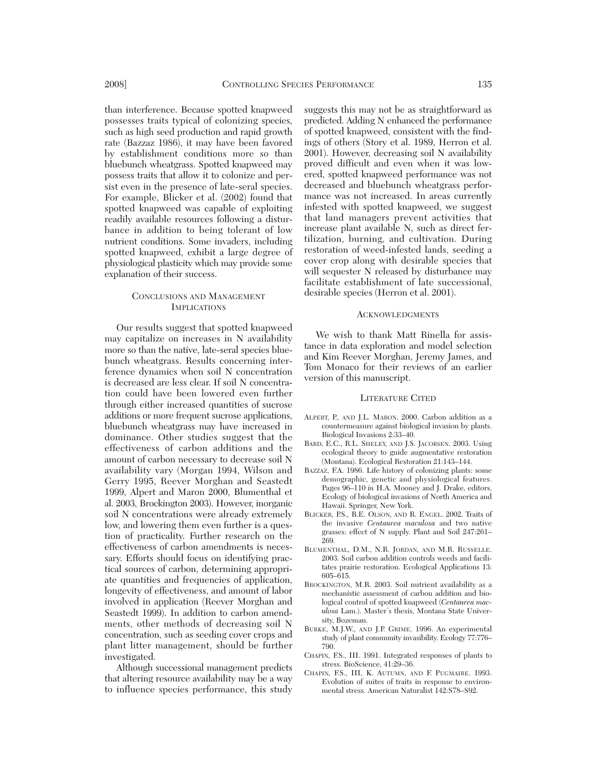than interference. Because spotted knapweed possesses traits typical of colonizing species, such as high seed production and rapid growth rate (Bazzaz 1986), it may have been favored by establishment conditions more so than bluebunch wheatgrass. Spotted knapweed may possess traits that allow it to colonize and persist even in the presence of late-seral species. For example, Blicker et al. (2002) found that spotted knapweed was capable of exploiting readily available resources following a disturbance in addition to being tolerant of low nutrient conditions. Some invaders, including spotted knapweed, exhibit a large degree of physiological plasticity which may provide some explanation of their success.

## CONCLUSIONS AND MANAGEMENT IMPLICATIONS

Our results suggest that spotted knapweed may capitalize on increases in N availability more so than the native, late-seral species bluebunch wheatgrass. Results concerning interference dynamics when soil N concentration is decreased are less clear. If soil N concentration could have been lowered even further through either increased quantities of sucrose additions or more frequent sucrose applications, bluebunch wheatgrass may have increased in dominance. Other studies suggest that the effectiveness of carbon additions and the amount of carbon necessary to decrease soil N availability vary (Morgan 1994, Wilson and Gerry 1995, Reever Morghan and Seastedt 1999, Alpert and Maron 2000, Blumenthal et al. 2003, Brockington 2003). However, inorganic soil N concentrations were already extremely low, and lowering them even further is a question of practicality. Further research on the effectiveness of carbon amendments is necessary. Efforts should focus on identifying practical sources of carbon, determining appropriate quantities and frequencies of application, longevity of effectiveness, and amount of labor involved in application (Reever Morghan and Seastedt 1999). In addition to carbon amendments, other methods of decreasing soil N concentration, such as seeding cover crops and plant litter management, should be further investigated.

Although successional management predicts that altering resource availability may be a way to influence species performance, this study

suggests this may not be as straightforward as predicted. Adding N enhanced the performance of spotted knapweed, consistent with the findings of others (Story et al. 1989, Herron et al. 2001). However, decreasing soil N availability proved difficult and even when it was lowered, spotted knapweed performance was not decreased and bluebunch wheatgrass performance was not increased. In areas currently infested with spotted knapweed, we suggest that land managers prevent activities that increase plant available N, such as direct fertilization, burning, and cultivation. During restoration of weed-infested lands, seeding a cover crop along with desirable species that will sequester N released by disturbance may facilitate establishment of late successional, desirable species (Herron et al. 2001).

#### **ACKNOWLEDGMENTS**

We wish to thank Matt Rinella for assistance in data exploration and model selection and Kim Reever Morghan, Jeremy James, and Tom Monaco for their reviews of an earlier version of this manuscript.

#### LITERATURE CITED

- ALPERT, P., AND J.L. MARON. 2000. Carbon addition as a countermeasure against biological invasion by plants. Biological Invasions 2:33–40.
- BARD, E.C., R.L. SHELEY, AND J.S. JACOBSEN. 2003. Using ecological theory to guide augmentative restoration (Montana). Ecological Restoration 21:143–144.
- BAZZAZ, F.A. 1986. Life history of colonizing plants: some demographic, genetic and physiological features. Pages 96–110 *in* H.A. Mooney and J. Drake, editors, Ecology of biological invasions of North America and Hawaii. Springer, New York.
- BLICKER, P.S., B.E. OLSON, AND R. ENGEL. 2002. Traits of the invasive *Centaurea maculosa* and two native grasses: effect of N supply. Plant and Soil 247:261– 269.
- BLUMENTHAL, D.M., N.R. JORDAN, AND M.R. RUSSELLE. 2003. Soil carbon addition controls weeds and facilitates prairie restoration. Ecological Applications 13: 605–615.
- BROCKINGTON, M.R. 2003. Soil nutrient availability as a mechanistic assessment of carbon addition and biological control of spotted knapweed (*Centaurea maculosa* Lam.). Master's thesis, Montana State University, Bozeman.
- BURKE, M.J.W., AND J.P. GRIME. 1996. An experimental study of plant community invasibility. Ecology 77:776– 790.
- CHAPIN, F.S., III. 1991. Integrated responses of plants to stress. BioScience, 41:29–36.
- CHAPIN, F.S., III, K. AUTUMN, AND F. PUGMAIRE. 1993. Evolution of suites of traits in response to environmental stress. American Naturalist 142:S78–S92.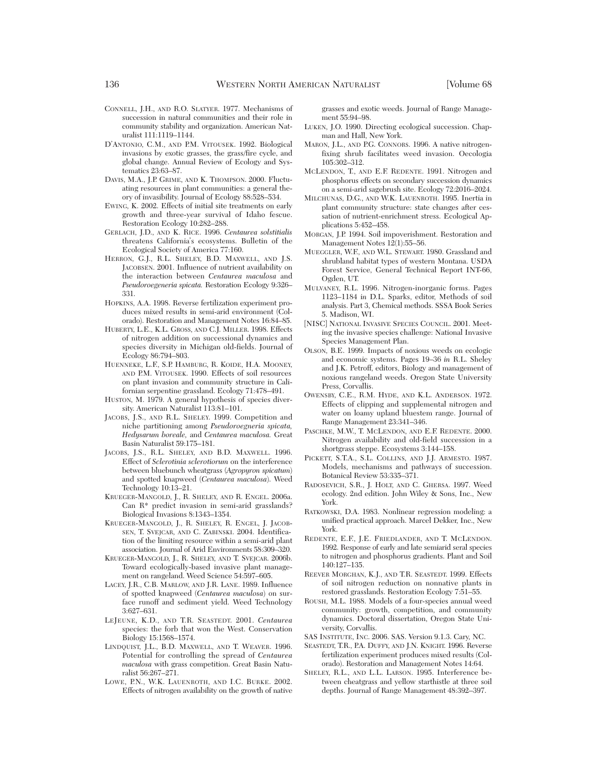- CONNELL, J.H., AND R.O. SLATYER. 1977. Mechanisms of succession in natural communities and their role in community stability and organization. American Naturalist 111:1119–1144.
- D'ANTONIO, C.M., AND P.M. VITOUSEK. 1992. Biological invasions by exotic grasses, the grass/fire cycle, and global change. Annual Review of Ecology and Systematics 23:63–87.
- DAVIS, M.A., J.P. GRIME, AND K. THOMPSON. 2000. Fluctuating resources in plant communities: a general theory of invasibility. Journal of Ecology 88:528–534.
- EWING, K. 2002. Effects of initial site treatments on early growth and three-year survival of Idaho fescue. Restoration Ecology 10:282–288.
- GERLACH, J.D., AND K. RICE. 1996. *Centaurea solstitialis* threatens California's ecosystems. Bulletin of the Ecological Society of America 77:160.
- HERRON, G.I., R.L. SHELEY, B.D. MAXWELL, AND I.S. JACOBSEN. 2001. Influence of nutrient availability on the interaction between *Centaurea maculosa* and *Pseudoro egeneria spicata.* Restoration Ecology 9:326– 331.
- HOPKINS, A.A. 1998. Reverse fertilization experiment produces mixed results in semi-arid environment (Colorado). Restoration and Management Notes 16:84–85.
- HUBERTY, L.E., K.L. GROSS, AND C.J. MILLER. 1998. Effects of nitrogen addition on successional dynamics and species diversity in Michigan old-fields. Journal of Ecology 86:794–803.
- HUENNEKE, L.F., S.P. HAMBURG, R. KOIDE, H.A. MOONEY, AND P.M. VITOUSEK. 1990. Effects of soil resources on plant invasion and community structure in Californian serpentine grassland. Ecology 71:478–491.
- HUSTON, M. 1979. A general hypothesis of species diversity. American Naturalist 113:81–101.
- JACOBS, J.S., AND R.L. SHELEY. 1999. Competition and niche partitioning among *Pseudoroegneria spicata, Hedysarum boreale,* and *Centaurea maculosa.* Great Basin Naturalist 59:175–181.
- JACOBS, J.S., R.L. SHELEY, AND B.D. MAXWELL. 1996. Effect of *Sclerotinia sclerotiorum* on the interference between bluebunch wheatgrass (*Agropyron spicatum*) and spotted knapweed (*Centaurea maculosa*). Weed Technology 10:13–21.
- KRUEGER-MANGOLD, J., R. SHELEY, AND R. ENGEL. 2006a. Can R\* predict invasion in semi-arid grasslands? Biological Invasions 8:1343–1354.
- KRUEGER-MANGOLD, J., R. SHELEY, R. ENGEL, J. JACOB-SEN, T. SVEJCAR, AND C. ZABINSKI. 2004. Identification of the limiting resource within a semi-arid plant association. Journal of Arid Environments 58:309–320.
- KRUEGER-MANGOLD, J., R. SHELEY, AND T. SVEJCAR. 2006b. Toward ecologically-based invasive plant management on rangeland. Weed Science 54:597–605.
- LACEY, J.R., C.B. MARLOW, AND J.R. LANE. 1989. Influence of spotted knapweed (*Centaurea maculosa*) on surface runoff and sediment yield. Weed Technology 3:627–631.
- LEJEUNE, K.D., AND T.R. SEASTEDT. 2001. *Centaurea* species: the forb that won the West. Conservation Biology 15:1568–1574.
- LINDQUIST, J.L., B.D. MAXWELL, AND T. WEAVER. 1996. Potential for controlling the spread of *Centaurea maculosa* with grass competition. Great Basin Naturalist 56:267–271.
- LOWE, P.N., W.K. LAUENROTH, AND I.C. BURKE. 2002. Effects of nitrogen availability on the growth of native

grasses and exotic weeds. Journal of Range Management 55:94–98.

- LUKEN, J.O. 1990. Directing ecological succession. Chapman and Hall, New York.
- MARON, J.L., AND P.G. CONNORS. 1996. A native nitrogenfixing shrub facilitates weed invasion. Oecologia 105:302–312.
- MCLENDON, T., AND E.F. REDENTE. 1991. Nitrogen and phosphorus effects on secondary succession dynamics on a semi-arid sagebrush site. Ecology 72:2016–2024.
- MILCHUNAS, D.G., AND W.K. LAUENROTH. 1995. Inertia in plant community structure: state changes after cessation of nutrient-enrichment stress. Ecological Applications 5:452–458.
- MORGAN, J.P. 1994. Soil impoverishment. Restoration and Management Notes 12(1):55–56.
- MUEGGLER, W.F., AND W.L. STEWART. 1980. Grassland and shrubland habitat types of western Montana. USDA Forest Service, General Technical Report INT-66, Ogden, UT.
- MULVANEY, R.L. 1996. Nitrogen-inorganic forms. Pages 1123–1184 i*n* D.L. Sparks, editor, Methods of soil analysis. Part 3, Chemical methods. SSSA Book Series 5. Madison, WI.
- [NISC] NATIONAL INVASIVE SPECIES COUNCIL. 2001. Meeting the invasive species challenge: National Invasive Species Management Plan.
- OLSON, B.E. 1999. Impacts of noxious weeds on ecologic and economic systems. Pages 19–36 *in* R.L. Sheley and J.K. Petroff, editors, Biology and management of noxious rangeland weeds. Oregon State University Press, Corvallis.
- OWENSBY, C.E., R.M. HYDE, AND K.L. ANDERSON. 1972. Effects of clipping and supplemental nitrogen and water on loamy upland bluestem range. Journal of Range Management 23:341–346.
- PASCHKE, M.W., T. MCLENDON, AND E.F. REDENTE. 2000. Nitrogen availability and old-field succession in a shortgrass steppe. Ecosystems 3:144–158.
- PICKETT, S.T.A., S.L. COLLINS, AND J.J. ARMESTO. 1987. Models, mechanisms and pathways of succession. Botanical Review 53:335–371.
- RADOSEVICH, S.R., J. HOLT, AND C. GHERSA. 1997. Weed ecology. 2nd edition. John Wiley & Sons, Inc., New York.
- RATKOWSKI, D.A. 1983. Nonlinear regression modeling: a unified practical approach. Marcel Dekker, Inc., New York.
- REDENTE, E.F., J.E. FRIEDLANDER, AND T. MCLENDON. 1992. Response of early and late semiarid seral species to nitrogen and phosphorus gradients. Plant and Soil 140:127–135.
- REEVER MORGHAN, K.J., AND T.R. SEASTEDT. 1999. Effects of soil nitrogen reduction on nonnative plants in restored grasslands. Restoration Ecology 7:51–55.
- ROUSH, M.L. 1988. Models of a four-species annual weed community: growth, competition, and community dynamics. Doctoral dissertation, Oregon State University, Corvallis.
- SAS INSTITUTE, INC. 2006. SAS. Version 9.1.3. Cary, NC.
- SEASTEDT, T.R., P.A. DUFFY, AND J.N. KNIGHT. 1996. Reverse fertilization experiment produces mixed results (Colorado). Restoration and Management Notes 14:64.
- SHELEY, R.L., AND L.L. LARSON. 1995. Interference between cheatgrass and yellow starthistle at three soil depths. Journal of Range Management 48:392–397.